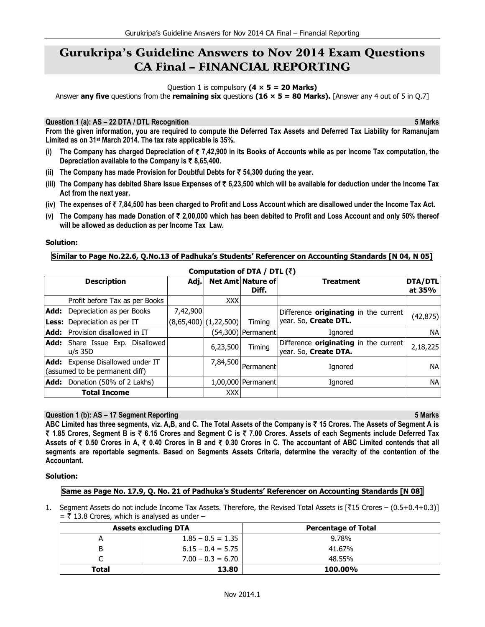# Gurukripa's Guideline Answers to Nov 2014 Exam Questions CA Final – FINANCIAL REPORTING

Question 1 is compulsory **(4 × 5 = 20 Marks)**

Answer **any five** questions from the **remaining six** questions **(16 × 5 = 80 Marks).** [Answer any 4 out of 5 in Q.7]

**Question 1 (a): AS – 22 DTA / DTL Recognition 5 Marks** 

**From the given information, you are required to compute the Deferred Tax Assets and Deferred Tax Liability for Ramanujam Limited as on 31st March 2014. The tax rate applicable is 35%.** 

- **(i) The Company has charged Depreciation of** ` **7,42,900 in its Books of Accounts while as per Income Tax computation, the Depreciation available to the Company is** ` **8,65,400.**
- **(ii) The Company has made Provision for Doubtful Debts for** ` **54,300 during the year.**
- **(iii) The Company has debited Share Issue Expenses of** ` **6,23,500 which will be available for deduction under the Income Tax Act from the next year.**
- **(iv) The expenses of** ` **7,84,500 has been charged to Profit and Loss Account which are disallowed under the Income Tax Act.**
- **(v) The Company has made Donation of** ` **2,00,000 which has been debited to Profit and Loss Account and only 50% thereof will be allowed as deduction as per Income Tax Law.**

#### **Solution:**

#### **Similar to Page No.22.6, Q.No.13 of Padhuka's Students' Referencer on Accounting Standards [N 04, N 05]**

|      | Computation of DTA / DTL (₹)                                              |          |                           |                                   |                                                                |                          |
|------|---------------------------------------------------------------------------|----------|---------------------------|-----------------------------------|----------------------------------------------------------------|--------------------------|
|      | <b>Description</b>                                                        | Adj.     |                           | <b>Net Amt Nature of</b><br>Diff. | <b>Treatment</b>                                               | <b>DTA/DTL</b><br>at 35% |
|      | Profit before Tax as per Books                                            |          | <b>XXX</b>                |                                   |                                                                |                          |
| Add: | Depreciation as per Books                                                 | 7,42,900 |                           |                                   | Difference <b>originating</b> in the current                   | (42, 875)                |
|      | Less: Depreciation as per IT                                              |          | $(8,65,400)$ $(1,22,500)$ | Timina                            | year. So, Create DTL.                                          |                          |
| Add: | Provision disallowed in IT                                                |          |                           | (54,300)   Permanent              | Ianored                                                        | NА                       |
| Add: | Share Issue Exp. Disallowed<br>$u/s$ 35D                                  |          | 6,23,500                  | Timing                            | Difference originating in the current<br>year. So, Create DTA. | 2,18,225                 |
|      | <b>Add:</b> Expense Disallowed under IT<br>(assumed to be permanent diff) |          |                           | $7,84,500$ Permanent              | Ignored                                                        | NА                       |
| Add: | Donation (50% of 2 Lakhs)                                                 |          |                           | 1,00,000 Permanent                | Ignored                                                        | <b>NA</b>                |
|      | <b>Total Income</b>                                                       |          | <b>XXX</b>                |                                   |                                                                |                          |

#### **Question 1 (b): AS – 17 Segment Reporting 5 Marks**

**ABC Limited has three segments, viz. A,B, and C. The Total Assets of the Company is** ` **15 Crores. The Assets of Segment A is**  ` **1.85 Crores, Segment B is** ` **6.15 Crores and Segment C is** ` **7.00 Crores. Assets of each Segments include Deferred Tax Assets of** ` **0.50 Crores in A,** ` **0.40 Crores in B and** ` **0.30 Crores in C. The accountant of ABC Limited contends that all segments are reportable segments. Based on Segments Assets Criteria, determine the veracity of the contention of the Accountant.** 

# **Solution:**

# **Same as Page No. 17.9, Q. No. 21 of Padhuka's Students' Referencer on Accounting Standards [N 08]**

1. Segment Assets do not include Income Tax Assets. Therefore, the Revised Total Assets is  $\lceil \overline{3} \rceil$  Crores – (0.5+0.4+0.3)]  $=$   $\overline{z}$  13.8 Crores, which is analysed as under –

| <b>Assets excluding DTA</b> |                     | <b>Percentage of Total</b> |  |
|-----------------------------|---------------------|----------------------------|--|
| A                           | $1.85 - 0.5 = 1.35$ | 9.78%                      |  |
| B                           | $6.15 - 0.4 = 5.75$ | 41.67%                     |  |
| ⌒                           | $7.00 - 0.3 = 6.70$ | 48.55%                     |  |
| Total                       | 13.80               | 100.00%                    |  |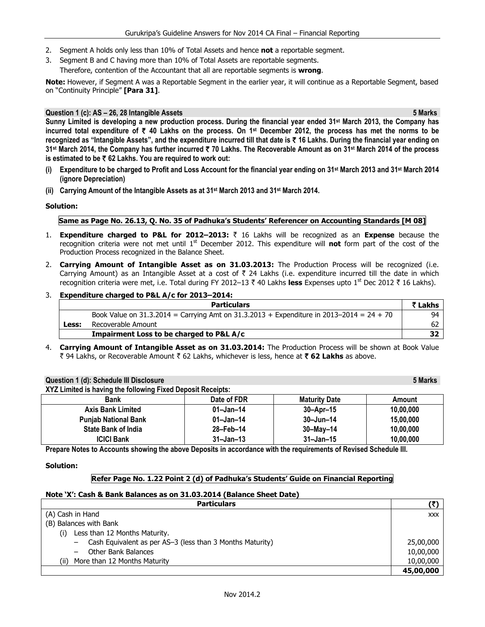- 2. Segment A holds only less than 10% of Total Assets and hence **not** a reportable segment.
- 3. Segment B and C having more than 10% of Total Assets are reportable segments.
	- Therefore, contention of the Accountant that all are reportable segments is **wrong**.

**Note:** However, if Segment A was a Reportable Segment in the earlier year, it will continue as a Reportable Segment, based on "Continuity Principle" **[Para 31]**.

# **Question 1 (c): AS – 26, 28 Intangible Assets 5 Marks**

**Sunny Limited is developing a new production process. During the financial year ended 31st March 2013, the Company has incurred total expenditure of** ` **40 Lakhs on the process. On 1st December 2012, the process has met the norms to be recognized as "Intangible Assets", and the expenditure incurred till that date is** ` **16 Lakhs. During the financial year ending on 31st March 2014, the Company has further incurred** ` **70 Lakhs. The Recoverable Amount as on 31st March 2014 of the process is estimated to be** ` **62 Lakhs. You are required to work out:** 

- **(i) Expenditure to be charged to Profit and Loss Account for the financial year ending on 31st March 2013 and 31st March 2014 (ignore Depreciation)**
- **(ii) Carrying Amount of the Intangible Assets as at 31st March 2013 and 31st March 2014.**

# **Solution:**

# **Same as Page No. 26.13, Q. No. 35 of Padhuka's Students' Referencer on Accounting Standards [M 08]**

- 1. **Expenditure charged to P&L for 2012–2013:** ` 16 Lakhs will be recognized as an **Expense** because the recognition criteria were not met until 1st December 2012. This expenditure will **not** form part of the cost of the Production Process recognized in the Balance Sheet.
- 2. **Carrying Amount of Intangible Asset as on 31.03.2013:** The Production Process will be recognized (i.e. Carrying Amount) as an Intangible Asset at a cost of  $\bar{\tau}$  24 Lakhs (i.e. expenditure incurred till the date in which recognition criteria were met, i.e. Total during FY 2012–13 ₹ 40 Lakhs less Expenses upto 1<sup>st</sup> Dec 2012 ₹ 16 Lakhs).

# 3. **Expenditure charged to P&L A/c for 2013–2014:**

**XYZ Limited is having the following Fixed Deposit Receipts:** 

|       | <b>Particulars</b>                                                                             | ₹ Lakhs |
|-------|------------------------------------------------------------------------------------------------|---------|
|       | Book Value on $31.3.2014$ = Carrying Amt on $31.3.2013$ + Expenditure in $2013-2014$ = 24 + 70 | 94      |
| Less: | Recoverable Amount                                                                             | 62      |
|       | Impairment Loss to be charged to P&L A/c                                                       |         |

4. **Carrying Amount of Intangible Asset as on 31.03.2014:** The Production Process will be shown at Book Value र 94 Lakhs, or Recoverable Amount ₹ 62 Lakhs, whichever is less, hence at ₹ 62 Lakhs as above.

# **Question 1 (d): Schedule III Disclosure 5 Marks**

| A LE LIMILED IS HAVING THE FORDWING FIXED DEDOSIT RECEIDES. |             |                      |           |  |  |
|-------------------------------------------------------------|-------------|----------------------|-----------|--|--|
| <b>Bank</b>                                                 | Date of FDR | <b>Maturity Date</b> | Amount    |  |  |
| <b>Axis Bank Limited</b>                                    | 01–Jan–14   | $30 -$ Apr $-15$     | 10.00.000 |  |  |
| <b>Punjab National Bank</b>                                 | 01-Jan-14   | $30 - Jun - 14$      | 15.00.000 |  |  |
| <b>State Bank of India</b>                                  | 28-Feb-14   | $30 - May - 14$      | 10.00.000 |  |  |
| <b>ICICI Bank</b>                                           | 31–Jan–13   | $31 - Jan - 15$      | 10,00,000 |  |  |

**Prepare Notes to Accounts showing the above Deposits in accordance with the requirements of Revised Schedule III.** 

# **Solution:**

# **Refer Page No. 1.22 Point 2 (d) of Padhuka's Students' Guide on Financial Reporting**

# **Note 'X': Cash & Bank Balances as on 31.03.2014 (Balance Sheet Date)**

| <b>Particulars</b>                                        |           |  |
|-----------------------------------------------------------|-----------|--|
| (A) Cash in Hand                                          |           |  |
| (B) Balances with Bank                                    |           |  |
| Less than 12 Months Maturity.<br>(i)                      |           |  |
| Cash Equivalent as per AS-3 (less than 3 Months Maturity) | 25,00,000 |  |
| Other Bank Balances                                       | 10,00,000 |  |
| More than 12 Months Maturity<br>(ii)                      | 10,00,000 |  |
|                                                           | 45,00,000 |  |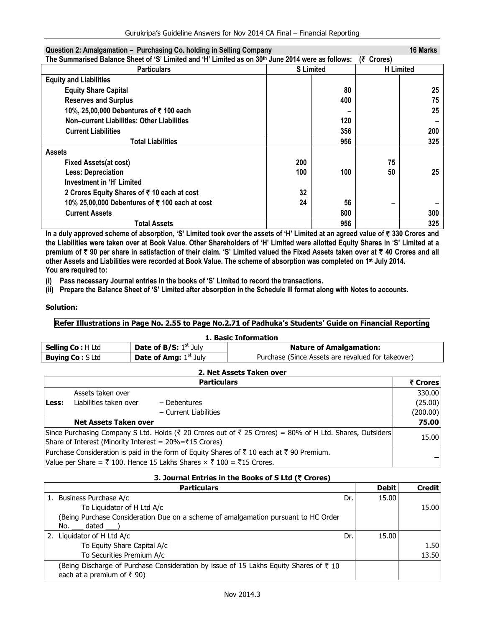| Question 2: Amalgamation – Purchasing Co. noiging in Seiling Company                              |     |                  |                  | TO MATKS |
|---------------------------------------------------------------------------------------------------|-----|------------------|------------------|----------|
| The Summarised Balance Sheet of 'S' Limited and 'H' Limited as on 30th June 2014 were as follows: |     |                  | (そ Crores)       |          |
| <b>Particulars</b>                                                                                |     | <b>S</b> Limited | <b>H</b> Limited |          |
| <b>Equity and Liabilities</b>                                                                     |     |                  |                  |          |
| <b>Equity Share Capital</b>                                                                       |     | 80               |                  | 25       |
| <b>Reserves and Surplus</b>                                                                       |     | 400              |                  | 75       |
| 10%, 25,00,000 Debentures of ₹100 each                                                            |     |                  |                  | 25       |
| Non-current Liabilities: Other Liabilities                                                        |     | 120              |                  |          |
| <b>Current Liabilities</b>                                                                        |     | 356              |                  | 200      |
| <b>Total Liabilities</b>                                                                          |     | 956              |                  | 325      |
| <b>Assets</b>                                                                                     |     |                  |                  |          |
| <b>Fixed Assets(at cost)</b>                                                                      | 200 |                  | 75               |          |
| <b>Less: Depreciation</b>                                                                         | 100 | 100              | 50               | 25       |
| Investment in 'H' Limited                                                                         |     |                  |                  |          |
| 2 Crores Equity Shares of ₹ 10 each at cost                                                       | 32  |                  |                  |          |
| 10% 25,00,000 Debentures of ₹100 each at cost                                                     | 24  | 56               |                  |          |
| <b>Current Assets</b>                                                                             |     | 800              |                  | 300      |
| Total Assets                                                                                      |     | 956              |                  | 325      |

**In a duly approved scheme of absorption, 'S' Limited took over the assets of 'H' Limited at an agreed value of** ` **330 Crores and the Liabilities were taken over at Book Value. Other Shareholders of 'H' Limited were allotted Equity Shares in 'S' Limited at a**  premium of ₹ 90 per share in satisfaction of their claim. 'S' Limited valued the Fixed Assets taken over at ₹ 40 Crores and all **other Assets and Liabilities were recorded at Book Value. The scheme of absorption was completed on 1st July 2014. You are required to:** 

**(i) Pass necessary Journal entries in the books of 'S' Limited to record the transactions.** 

**(ii) Prepare the Balance Sheet of 'S' Limited after absorption in the Schedule III format along with Notes to accounts.** 

# **Solution:**

# **Refer Illustrations in Page No. 2.55 to Page No.2.71 of Padhuka's Students' Guide on Financial Reporting**

| 1. Basic Information    |                                |                                                   |  |  |  |
|-------------------------|--------------------------------|---------------------------------------------------|--|--|--|
| <b>Selling Co: HLtd</b> | <b>Date of B/S:</b> $1st$ July | <b>Nature of Amalgamation:</b>                    |  |  |  |
| <b>Buying Co: S Ltd</b> | <b>Date of Amg:</b> $1st$ July | Purchase (Since Assets are revalued for takeover) |  |  |  |

|       | 2. Net Assets Taken over                               |                                                                                                          |          |  |  |
|-------|--------------------------------------------------------|----------------------------------------------------------------------------------------------------------|----------|--|--|
|       |                                                        | <b>Particulars</b>                                                                                       | ₹ Crores |  |  |
|       | Assets taken over                                      |                                                                                                          | 330.00   |  |  |
| Less: | Liabilities taken over                                 | – Debentures                                                                                             | (25.00)  |  |  |
|       |                                                        | - Current Liabilities                                                                                    | (200.00) |  |  |
|       | <b>Net Assets Taken over</b>                           |                                                                                                          | 75.00    |  |  |
|       | Share of Interest (Minority Interest = 20%=₹15 Crores) | Since Purchasing Company S Ltd. Holds (₹ 20 Crores out of ₹ 25 Crores) = 80% of H Ltd. Shares, Outsiders | 15.00    |  |  |
|       |                                                        | Purchase Consideration is paid in the form of Equity Shares of ₹ 10 each at ₹ 90 Premium.                |          |  |  |
|       |                                                        | Value per Share = ₹ 100. Hence 15 Lakhs Shares $\times$ ₹ 100 = ₹15 Crores.                              |          |  |  |

| 3. Journal Entries in the Books of S Ltd (₹ Crores)                                              |     |              |               |  |
|--------------------------------------------------------------------------------------------------|-----|--------------|---------------|--|
| <b>Particulars</b>                                                                               |     | <b>Debit</b> | <b>Credit</b> |  |
| 1. Business Purchase A/c                                                                         | Dr. | 15.00        |               |  |
| To Liquidator of H Ltd A/c                                                                       |     |              | 15.00         |  |
| (Being Purchase Consideration Due on a scheme of amalgamation pursuant to HC Order               |     |              |               |  |
| No. dated                                                                                        |     |              |               |  |
| 2. Liquidator of H Ltd A/c                                                                       | Dr. | 15.00        |               |  |
| To Equity Share Capital A/c                                                                      |     |              | 1.50          |  |
| To Securities Premium A/c                                                                        |     |              | 13.50         |  |
| (Being Discharge of Purchase Consideration by issue of 15 Lakhs Equity Shares of $\bar{\tau}$ 10 |     |              |               |  |
| each at a premium of ₹ 90)                                                                       |     |              |               |  |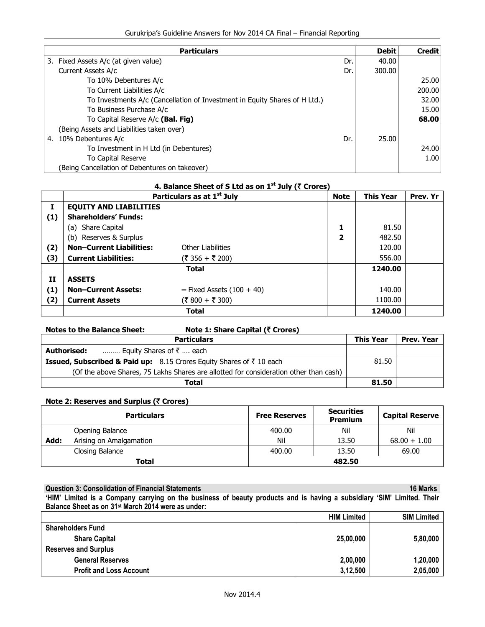| <b>Particulars</b>                                                         |     | <b>Debit</b> | <b>Credit</b> |
|----------------------------------------------------------------------------|-----|--------------|---------------|
| 3. Fixed Assets A/c (at given value)                                       | Dr. | 40.00        |               |
| Current Assets A/c                                                         | Dr. | 300.00       |               |
| To 10% Debentures A/c                                                      |     |              | 25.00         |
| To Current Liabilities A/c                                                 |     |              | 200.00        |
| To Investments A/c (Cancellation of Investment in Equity Shares of H Ltd.) |     |              | 32.00         |
| To Business Purchase A/c                                                   |     |              | 15.00         |
| To Capital Reserve A/c (Bal. Fig)                                          |     |              | 68.00         |
| (Being Assets and Liabilities taken over)                                  |     |              |               |
| 10% Debentures A/c<br>4.                                                   | Dr. | 25.00        |               |
| To Investment in H Ltd (in Debentures)                                     |     |              | 24.00         |
| To Capital Reserve                                                         |     |              | 1.00          |
| (Being Cancellation of Debentures on takeover)                             |     |              |               |

|     |                                 | Particulars as at 1 <sup>st</sup> July | <b>Note</b>             | <b>This Year</b> | Prev. Yr |
|-----|---------------------------------|----------------------------------------|-------------------------|------------------|----------|
| Ι.  | <b>EQUITY AND LIABILITIES</b>   |                                        |                         |                  |          |
| (1) | <b>Shareholders' Funds:</b>     |                                        |                         |                  |          |
|     | (a) Share Capital               |                                        | 1                       | 81.50            |          |
|     | (b) Reserves & Surplus          |                                        | $\overline{\mathbf{2}}$ | 482.50           |          |
| (2) | <b>Non-Current Liabilities:</b> | <b>Other Liabilities</b>               |                         | 120.00           |          |
| (3) | <b>Current Liabilities:</b>     | (₹ 356 + ₹ 200)                        |                         | 556.00           |          |
|     |                                 | <b>Total</b>                           |                         | 1240.00          |          |
| 11  | <b>ASSETS</b>                   |                                        |                         |                  |          |
| (1) | <b>Non-Current Assets:</b>      | $-$ Fixed Assets (100 + 40)            |                         | 140.00           |          |
| (2) | <b>Current Assets</b>           | (₹ 800 + ₹ 300)                        |                         | 1100.00          |          |
|     |                                 | <b>Total</b>                           |                         | 1240.00          |          |

# **4. Balance Sheet of S Ltd as on 1<sup>st</sup> July (₹ Crores)**

| <b>Notes to the Balance Sheet:</b>                                                         | Note 1: Share Capital (₹ Crores) |                  |            |
|--------------------------------------------------------------------------------------------|----------------------------------|------------------|------------|
|                                                                                            | <b>Particulars</b>               | <b>This Year</b> | Prev. Year |
| Authorised:<br>Equity Shares of $\bar{z}$ each                                             |                                  |                  |            |
| <b>Issued, Subscribed &amp; Paid up:</b> 8.15 Crores Equity Shares of $\bar{\tau}$ 10 each |                                  | 81.50            |            |
| (Of the above Shares, 75 Lakhs Shares are allotted for consideration other than cash)      |                                  |                  |            |
|                                                                                            | Total                            | 81.50            |            |

# **Note 2: Reserves and Surplus (₹ Crores)**

|      | <b>Particulars</b>      | <b>Free Reserves</b> | <b>Securities</b><br><b>Premium</b> | <b>Capital Reserve</b> |
|------|-------------------------|----------------------|-------------------------------------|------------------------|
|      | Opening Balance         | 400.00               | Nil                                 | Nil                    |
| Add: | Arising on Amalgamation | Nil                  | 13.50                               | $68.00 + 1.00$         |
|      | Closing Balance         | 400.00               | 13.50                               | 69.00                  |
|      | <b>Total</b>            |                      | 482.50                              |                        |

**Question 3: Consolidation of Financial Statements 16 Marks <b>16 Marks 16 Marks 16 Marks** 

**'HIM' Limited is a Company carrying on the business of beauty products and is having a subsidiary 'SIM' Limited. Their Balance Sheet as on 31st March 2014 were as under:** 

|                                | <b>HIM Limited</b> | <b>SIM Limited</b> |
|--------------------------------|--------------------|--------------------|
| <b>Shareholders Fund</b>       |                    |                    |
| <b>Share Capital</b>           | 25,00,000          | 5,80,000           |
| <b>Reserves and Surplus</b>    |                    |                    |
| <b>General Reserves</b>        | 2,00,000           | 1,20,000           |
| <b>Profit and Loss Account</b> | 3,12,500           | 2,05,000           |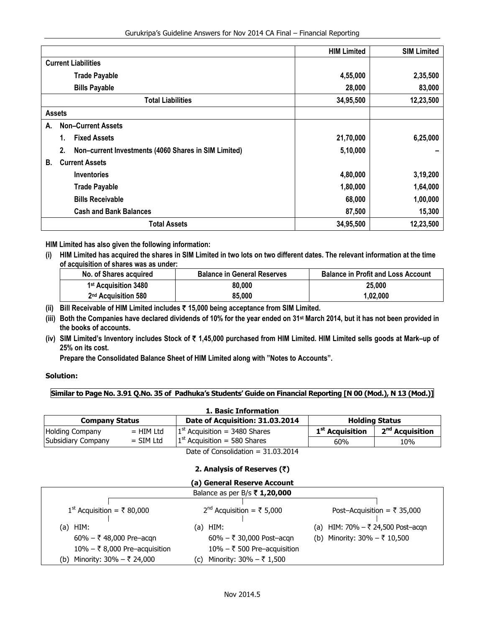|                                                            | <b>HIM Limited</b> | <b>SIM Limited</b> |
|------------------------------------------------------------|--------------------|--------------------|
| <b>Current Liabilities</b>                                 |                    |                    |
| <b>Trade Payable</b>                                       | 4,55,000           | 2,35,500           |
| <b>Bills Payable</b>                                       | 28,000             | 83,000             |
| <b>Total Liabilities</b>                                   | 34,95,500          | 12,23,500          |
| <b>Assets</b>                                              |                    |                    |
| <b>Non-Current Assets</b><br>А.                            |                    |                    |
| <b>Fixed Assets</b><br>1.                                  | 21,70,000          | 6,25,000           |
| Non-current Investments (4060 Shares in SIM Limited)<br>2. | 5,10,000           |                    |
| <b>Current Assets</b><br>В.                                |                    |                    |
| <b>Inventories</b>                                         | 4,80,000           | 3,19,200           |
| <b>Trade Payable</b>                                       | 1,80,000           | 1,64,000           |
| <b>Bills Receivable</b>                                    | 68,000             | 1,00,000           |
| <b>Cash and Bank Balances</b>                              | 87,500             | 15,300             |
| <b>Total Assets</b>                                        | 34,95,500          | 12,23,500          |

**HIM Limited has also given the following information:** 

**(i) HIM Limited has acquired the shares in SIM Limited in two lots on two different dates. The relevant information at the time of acquisition of shares was as under:** 

| No. of Shares acquired           | <b>Balance in General Reserves</b> | <b>Balance in Profit and Loss Account</b> |
|----------------------------------|------------------------------------|-------------------------------------------|
| 1 <sup>st</sup> Acquisition 3480 | 80,000                             | 25,000                                    |
| 2 <sup>nd</sup> Acquisition 580  | 85.000                             | 1.02.000                                  |

- **(ii) Bill Receivable of HIM Limited includes** ` **15,000 being acceptance from SIM Limited.**
- **(iii) Both the Companies have declared dividends of 10% for the year ended on 31st March 2014, but it has not been provided in the books of accounts.**
- **(iv) SIM Limited's Inventory includes Stock of** ` **1,45,000 purchased from HIM Limited. HIM Limited sells goods at Mark–up of 25% on its cost.**

**Prepare the Consolidated Balance Sheet of HIM Limited along with "Notes to Accounts".** 

# **Solution:**

**Similar to Page No. 3.91 Q.No. 35 of Padhuka's Students' Guide on Financial Reporting [N 00 (Mod.), N 13 (Mod.)]** 

| 1. Basic Information   |             |                                      |                             |                             |  |  |
|------------------------|-------------|--------------------------------------|-----------------------------|-----------------------------|--|--|
| <b>Company Status</b>  |             | <b>Holding Status</b>                |                             |                             |  |  |
| <b>Holding Company</b> | $=$ HIM Ltd | $1st$ Acquisition = 3480 Shares      | 1 <sup>st</sup> Acquisition | 2 <sup>nd</sup> Acquisition |  |  |
| Subsidiary Company     | $=$ SIM Ltd | $1st$ Acquisition = 580 Shares       | 60%                         | 10%                         |  |  |
|                        |             | Date of Consolidation = $31.03.2014$ |                             |                             |  |  |

| (a) General Reserve Account                 |                                             |                                            |  |  |
|---------------------------------------------|---------------------------------------------|--------------------------------------------|--|--|
|                                             |                                             |                                            |  |  |
| $1st$ Acquisition = ₹ 80,000                | $2nd$ Acquisition = ₹ 5,000                 | Post-Acquisition = $\overline{\xi}$ 35,000 |  |  |
| HIM:<br>(a)                                 | HIM:<br>(a)                                 | (a) HIM: 70% - ₹ 24,500 Post-acqn          |  |  |
| $60\% - ₹ 48,000$ Pre-acqn                  | $60\% - ₹ 30,000$ Post-acgn                 | (b) Minority: $30\% - ₹ 10,500$            |  |  |
| $10\% - \overline{5}$ 8,000 Pre-acquisition | $10\% - \overline{\xi}$ 500 Pre-acquisition |                                            |  |  |
| Minority: 30% – ₹ 24,000<br>(b)             | Minority: $30\% - ₹ 1,500$<br>(c)           |                                            |  |  |

# **2. Analysis of Reserves (**`**)**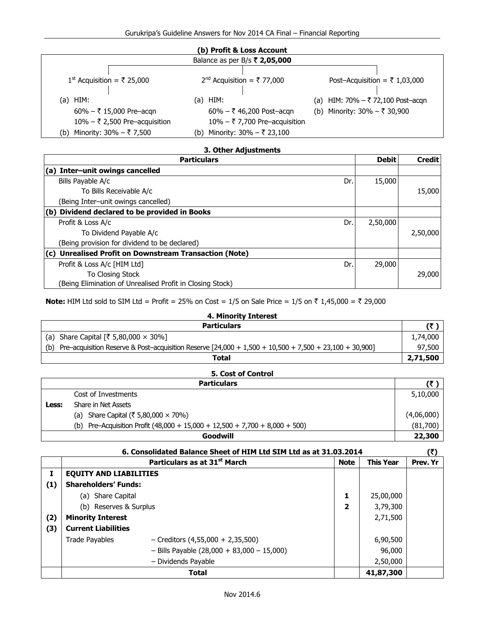| (b) Profit & Loss Account                                                                                               |                                                                                                                             |                                                                         |  |  |
|-------------------------------------------------------------------------------------------------------------------------|-----------------------------------------------------------------------------------------------------------------------------|-------------------------------------------------------------------------|--|--|
|                                                                                                                         | Balance as per B/s ₹ 2,05,000                                                                                               |                                                                         |  |  |
| 1 <sup>st</sup> Acquisition = ₹ 25,000                                                                                  | $2nd$ Acquisition = ₹ 77,000                                                                                                | Post-Acquisition = ₹ 1,03,000                                           |  |  |
| (a) HIM:<br>$60\% - \overline{5}$ 15,000 Pre-acgn<br>$10\%$ – ₹ 2,500 Pre-acquisition<br>Minority: 30% – ₹ 7,500<br>(b) | $(a)$ HIM:<br>$60\% - ₹ 46,200$ Post-acgn<br>$10\% - \overline{5}$ 7,700 Pre-acquisition<br>Minority: 30% – ₹ 23,100<br>(b) | (a) HIM: $70\% - ₹ 72,100$ Post-acqn<br>(b) Minority: $30\% - ₹ 30,900$ |  |  |

# **3. Other Adjustments**

| <b>Particulars</b>                                        |     |          | <b>Credit</b> |
|-----------------------------------------------------------|-----|----------|---------------|
| (a) Inter-unit owings cancelled                           |     |          |               |
| Bills Payable A/c                                         | Dr. | 15,000   |               |
| To Bills Receivable A/c                                   |     |          | 15,000        |
| (Being Inter-unit owings cancelled)                       |     |          |               |
| (b) Dividend declared to be provided in Books             |     |          |               |
| Profit & Loss A/c                                         | Dr. | 2,50,000 |               |
| To Dividend Payable A/c                                   |     |          | 2,50,000      |
| (Being provision for dividend to be declared)             |     |          |               |
| (c) Unrealised Profit on Downstream Transaction (Note)    |     |          |               |
| Profit & Loss A/c [HIM Ltd]                               | Dr. | 29,000   |               |
| <b>To Closing Stock</b>                                   |     |          | 29,000        |
| (Being Elimination of Unrealised Profit in Closing Stock) |     |          |               |

**Note:** HIM Ltd sold to SIM Ltd = Profit = 25% on Cost = 1/5 on Sale Price = 1/5 on ₹ 1,45,000 = ₹ 29,000

| 4. Minority Interest                                                                                            |          |  |
|-----------------------------------------------------------------------------------------------------------------|----------|--|
| <b>Particulars</b>                                                                                              | (₹       |  |
| (a) Share Capital $[3, 5, 80, 000 \times 30\%]$                                                                 | 1,74,000 |  |
| Pre-acquisition Reserve & Post-acquisition Reserve $[24,000 + 1,500 + 10,500 + 7,500 + 23,100 + 30,900]$<br>(b) | 97,500   |  |
| Total                                                                                                           | 2,71,500 |  |
|                                                                                                                 |          |  |

|       | 5. Cost of Control                                                               |            |  |  |  |  |
|-------|----------------------------------------------------------------------------------|------------|--|--|--|--|
|       | <b>Particulars</b>                                                               |            |  |  |  |  |
|       | Cost of Investments                                                              |            |  |  |  |  |
| Less: | Share in Net Assets                                                              |            |  |  |  |  |
|       | (a) Share Capital ( $\bar{\xi}$ 5,80,000 $\times$ 70%)                           | (4,06,000) |  |  |  |  |
|       | Pre-Acquisition Profit $(48,000 + 15,000 + 12,500 + 7,700 + 8,000 + 500)$<br>(b) | (81,700)   |  |  |  |  |
|       | Goodwill                                                                         | 22,300     |  |  |  |  |

|     |                               | 6. Consolidated Balance Sheet of HIM Ltd SIM Ltd as at 31.03.2014 |             |                  | (3)      |
|-----|-------------------------------|-------------------------------------------------------------------|-------------|------------------|----------|
|     |                               | Particulars as at 31 <sup>st</sup> March                          | <b>Note</b> | <b>This Year</b> | Prev. Yr |
|     | <b>EQUITY AND LIABILITIES</b> |                                                                   |             |                  |          |
| (1) | <b>Shareholders' Funds:</b>   |                                                                   |             |                  |          |
|     | (a) Share Capital             |                                                                   | 1           | 25,00,000        |          |
|     | (b) Reserves & Surplus        |                                                                   |             | 3,79,300         |          |
| (2) | <b>Minority Interest</b>      |                                                                   |             | 2,71,500         |          |
| (3) | <b>Current Liabilities</b>    |                                                                   |             |                  |          |
|     | <b>Trade Payables</b>         | $-$ Creditors (4,55,000 + 2,35,500)                               |             | 6,90,500         |          |
|     |                               | $-$ Bills Payable (28,000 + 83,000 - 15,000)                      |             | 96,000           |          |
|     |                               | - Dividends Payable                                               |             | 2,50,000         |          |
|     |                               | Total                                                             |             | 41,87,300        |          |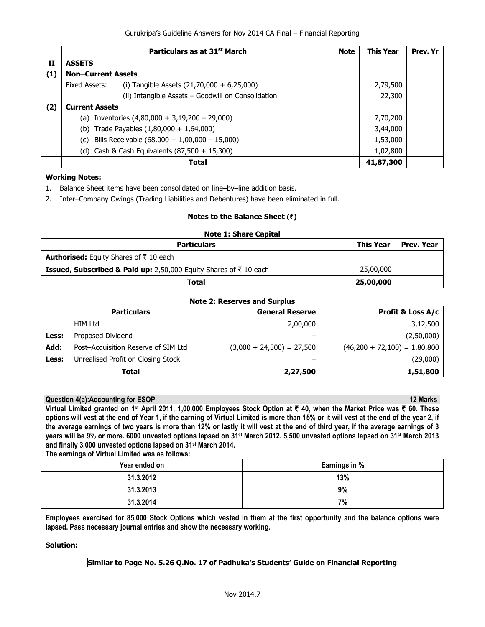|     |                                            | Particulars as at 31 <sup>st</sup> March           | <b>Note</b> | <b>This Year</b> | Prev. Yr |
|-----|--------------------------------------------|----------------------------------------------------|-------------|------------------|----------|
| п   | <b>ASSETS</b>                              |                                                    |             |                  |          |
| (1) | <b>Non-Current Assets</b>                  |                                                    |             |                  |          |
|     | Fixed Assets:                              | (i) Tangible Assets $(21,70,000 + 6,25,000)$       |             | 2,79,500         |          |
|     |                                            | (ii) Intangible Assets - Goodwill on Consolidation |             | 22,300           |          |
| (2) | <b>Current Assets</b>                      |                                                    |             |                  |          |
|     |                                            | (a) Inventories $(4,80,000 + 3,19,200 - 29,000)$   |             | 7,70,200         |          |
|     | (b) Trade Payables $(1,80,000 + 1,64,000)$ |                                                    |             | 3,44,000         |          |
|     | (c)                                        | Bills Receivable $(68,000 + 1,00,000 - 15,000)$    |             | 1,53,000         |          |
|     |                                            | (d) Cash & Cash Equivalents (87,500 + 15,300)      |             | 1,02,800         |          |
|     |                                            | <b>Total</b>                                       |             | 41,87,300        |          |

#### **Working Notes:**

- 1. Balance Sheet items have been consolidated on line–by–line addition basis.
- 2. Inter–Company Owings (Trading Liabilities and Debentures) have been eliminated in full.

### **Notes to the Balance Sheet (**`**)**

| <b>Note 1: Share Capital</b>                                                            |                  |            |  |
|-----------------------------------------------------------------------------------------|------------------|------------|--|
| <b>Particulars</b>                                                                      | <b>This Year</b> | Prev. Year |  |
| <b>Authorised:</b> Equity Shares of $\bar{\tau}$ 10 each                                |                  |            |  |
| <b>Issued, Subscribed &amp; Paid up:</b> 2,50,000 Equity Shares of $\bar{\tau}$ 10 each | 25,00,000        |            |  |
| <b>Total</b>                                                                            | 25,00,000        |            |  |

#### **Note 2: Reserves and Surplus**

|       | <b>Particulars</b>                  | <b>General Reserve</b>      | <b>Profit &amp; Loss A/c</b>   |
|-------|-------------------------------------|-----------------------------|--------------------------------|
|       | HIM Ltd                             | 2,00,000                    | 3,12,500                       |
| Less: | Proposed Dividend                   | -                           | (2,50,000)                     |
| Add:  | Post-Acquisition Reserve of SIM Ltd | $(3,000 + 24,500) = 27,500$ | $(46,200 + 72,100) = 1,80,800$ |
| Less: | Unrealised Profit on Closing Stock  | -                           | (29,000)                       |
|       | Total                               | 2,27,500                    | 1,51,800                       |

# **Constitution 4(a):Accounting for ESOP** 12 Marks **12 Marks 2004 12 Marks 2004 12 Marks 2004 12 Marks 12 Marks 12 Marks 12 Marks 12 Marks 12 Marks 12 Marks 12 Marks 12 Marks 12 Marks 12 Marks 12 Marks 12 Marks 12 Marks 12 M**

**Virtual Limited granted on 1st April 2011, 1,00,000 Employees Stock Option at** ` **40, when the Market Price was** ` **60. These options will vest at the end of Year 1, if the earning of Virtual Limited is more than 15% or it will vest at the end of the year 2, if the average earnings of two years is more than 12% or lastly it will vest at the end of third year, if the average earnings of 3 years will be 9% or more. 6000 unvested options lapsed on 31st March 2012. 5,500 unvested options lapsed on 31st March 2013 and finally 3,000 unvested options lapsed on 31st March 2014.** 

**The earnings of Virtual Limited was as follows:** 

| Earnings in %<br>Year ended on |     |
|--------------------------------|-----|
| 31.3.2012                      | 13% |
| 31.3.2013                      | 9%  |
| 31.3.2014                      | 7%  |

**Employees exercised for 85,000 Stock Options which vested in them at the first opportunity and the balance options were lapsed. Pass necessary journal entries and show the necessary working.** 

# **Solution:**

# **Similar to Page No. 5.26 Q.No. 17 of Padhuka's Students' Guide on Financial Reporting**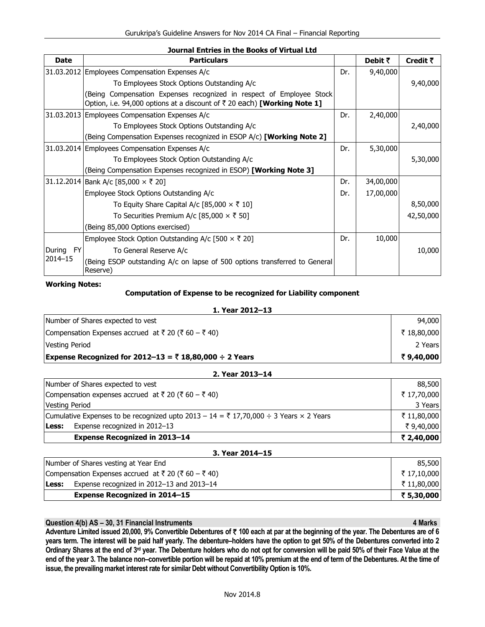| <b>Date</b> | <b>Particulars</b>                                                                                                                                          |     | Debit $\bar{z}$ | Credit $\bar{\tau}$ |
|-------------|-------------------------------------------------------------------------------------------------------------------------------------------------------------|-----|-----------------|---------------------|
|             | 31.03.2012 Employees Compensation Expenses A/c                                                                                                              | Dr. | 9,40,000        |                     |
|             | To Employees Stock Options Outstanding A/c                                                                                                                  |     |                 | 9,40,000            |
|             | (Being Compensation Expenses recognized in respect of Employee Stock<br>Option, i.e. 94,000 options at a discount of $\bar{\tau}$ 20 each) [Working Note 1] |     |                 |                     |
|             | 31.03.2013 Employees Compensation Expenses A/c                                                                                                              | Dr. | 2,40,000        |                     |
|             | To Employees Stock Options Outstanding A/c                                                                                                                  |     |                 | 2,40,000            |
|             | (Being Compensation Expenses recognized in ESOP A/c) [Working Note 2]                                                                                       |     |                 |                     |
|             | 31.03.2014 Employees Compensation Expenses A/c                                                                                                              | Dr. | 5,30,000        |                     |
|             | To Employees Stock Option Outstanding A/c                                                                                                                   |     |                 | 5,30,000            |
|             | (Being Compensation Expenses recognized in ESOP) <b>[Working Note 3]</b>                                                                                    |     |                 |                     |
|             | 31.12.2014   Bank A/c [85,000 × ₹ 20]                                                                                                                       | Dr. | 34,00,000       |                     |
|             | Employee Stock Options Outstanding A/c                                                                                                                      | Dr. | 17,00,000       |                     |
|             | To Equity Share Capital A/c [85,000 $\times$ ₹ 10]                                                                                                          |     |                 | 8,50,000            |
|             | To Securities Premium A/c [85,000 $\times$ ₹ 50]                                                                                                            |     |                 | 42,50,000           |
|             | (Being 85,000 Options exercised)                                                                                                                            |     |                 |                     |
|             | Employee Stock Option Outstanding A/c [500 $\times$ $\overline{\tau}$ 20]                                                                                   | Dr. | 10,000          |                     |
| During FY   | To General Reserve A/c                                                                                                                                      |     |                 | 10,000              |
| $2014 - 15$ | (Being ESOP outstanding A/c on lapse of 500 options transferred to General<br>Reserve)                                                                      |     |                 |                     |

**Working Notes:** 

# **Computation of Expense to be recognized for Liability component**

# **1. Year 2012–13**

| Number of Shares expected to vest                      | 94,000       |
|--------------------------------------------------------|--------------|
| Compensation Expenses accrued at ₹ 20 (₹ 60 – ₹ 40)    | ₹ 18,80,000  |
| Vesting Period                                         | 2 Years      |
| Expense Recognized for 2012–13 = ₹ 18,80,000 ÷ 2 Years | ₹ 9.40.000 ∣ |

| 2. Year 2013-14                                                                       |             |
|---------------------------------------------------------------------------------------|-------------|
| Number of Shares expected to vest                                                     | 88,500      |
| Compensation expenses accrued at ₹ 20 (₹ 60 – ₹ 40)                                   | ₹ 17,70,000 |
| <b>Vesting Period</b>                                                                 | 3 Years     |
| Cumulative Expenses to be recognized upto 2013 - 14 = ₹ 17,70,000 ÷ 3 Years × 2 Years | ₹ 11,80,000 |
| Expense recognized in 2012-13<br>Less:                                                | ₹9,40,000   |
| <b>Expense Recognized in 2013-14</b>                                                  | ₹ 2,40,000  |
|                                                                                       |             |

# **3. Year 2014–15**  Number of Shares vesting at Year End 85,500 Compensation Expenses accrued at  $\bar{z}$  20 ( $\bar{z}$  60 –  $\bar{z}$  40)  $\bar{z}$  17,10,000 **Less:** Expense recognized in 2012–13 and 2013–14  $\bar{\tau}$  11,80,000 **Expense Recognized in 2014–15** ` **5,30,000**

# **Question 4(b) AS – 30, 31 Financial Instruments 4 Marks 3 American control of the 4 Marks 4 Marks 4 Marks 4 Marks**

**Adventure Limited issued 20,000, 9% Convertible Debentures of** ` **100 each at par at the beginning of the year. The Debentures are of 6 years term. The interest will be paid half yearly. The debenture–holders have the option to get 50% of the Debentures converted into 2 Ordinary Shares at the end of 3rd year. The Debenture holders who do not opt for conversion will be paid 50% of their Face Value at the end of the year 3. The balance non–convertible portion will be repaid at 10% premium at the end of term of the Debentures. At the time of issue, the prevailing market interest rate for similar Debt without Convertibility Option is 10%.**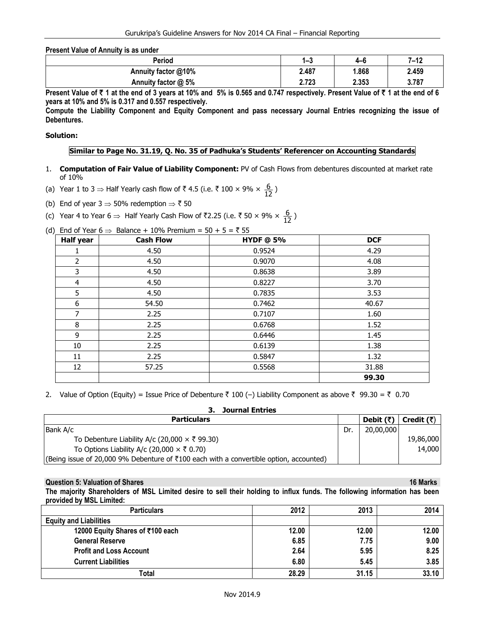**Present Value of Annuity is as under** 

| Period              | . .<br>ن—ا | $4 - 6$ | 7–12  |
|---------------------|------------|---------|-------|
| Annuity factor @10% | 2.487      | .868    | 2.459 |
| Annuity factor @ 5% | 2.723      | 2.353   | 3.787 |

Present Value of ₹ 1 at the end of 3 years at 10% and 5% is 0.565 and 0.747 respectively. Present Value of ₹ 1 at the end of 6 **years at 10% and 5% is 0.317 and 0.557 respectively.** 

**Compute the Liability Component and Equity Component and pass necessary Journal Entries recognizing the issue of Debentures.** 

#### **Solution:**

## **Similar to Page No. 31.19, Q. No. 35 of Padhuka's Students' Referencer on Accounting Standards**

- 1. **Computation of Fair Value of Liability Component:** PV of Cash Flows from debentures discounted at market rate of 10%
- (a) Year 1 to 3  $\Rightarrow$  Half Yearly cash flow of ₹ 4.5 (i.e. ₹ 100 × 9% ×  $\frac{6}{12}$ )
- (b) End of year  $3 \Rightarrow 50\%$  redemption  $\Rightarrow \overline{\xi}$  50
- (c) Year 4 to Year 6  $\Rightarrow$  Half Yearly Cash Flow of ₹2.25 (i.e. ₹ 50 × 9% ×  $\frac{6}{12}$ )
- (d) End of Year  $6 \implies$  Balance + 10% Premium = 50 + 5 = ₹ 55

| <b>Half year</b> | <b>Cash Flow</b> | <b>HYDF</b> @ 5% | <b>DCF</b> |
|------------------|------------------|------------------|------------|
| T                | 4.50             | 0.9524           | 4.29       |
| $\overline{2}$   | 4.50             | 0.9070           | 4.08       |
| 3                | 4.50             | 0.8638           | 3.89       |
| 4                | 4.50             | 0.8227           | 3.70       |
| 5                | 4.50             | 0.7835           | 3.53       |
| 6                | 54.50            | 0.7462           | 40.67      |
| $\overline{7}$   | 2.25             | 0.7107           | 1.60       |
| 8                | 2.25             | 0.6768           | 1.52       |
| 9                | 2.25             | 0.6446           | 1.45       |
| 10               | 2.25             | 0.6139           | 1.38       |
| 11               | 2.25             | 0.5847           | 1.32       |
| 12               | 57.25            | 0.5568           | 31.88      |
|                  |                  |                  | 99.30      |

2. Value of Option (Equity) = Issue Price of Debenture  $\bar{\zeta}$  100 (-) Liability Component as above  $\bar{\zeta}$  99.30 =  $\bar{\zeta}$  0.70

| <b>Journal Entries</b>                                                                 |     |                                              |           |
|----------------------------------------------------------------------------------------|-----|----------------------------------------------|-----------|
| <b>Particulars</b>                                                                     |     | Debit $(\bar{\zeta})$ Credit $(\bar{\zeta})$ |           |
| Bank A/c                                                                               | Dr. | 20,00,000                                    |           |
| To Debenture Liability A/c (20,000 $\times$ ₹ 99.30)                                   |     |                                              | 19,86,000 |
| To Options Liability A/c (20,000 $\times$ ₹ 0.70)                                      |     |                                              | 14,000    |
| (Being issue of 20,000 9% Debenture of ₹100 each with a convertible option, accounted) |     |                                              |           |

#### **Question 5: Valuation of Shares 16 Marks 30 Marks 30 Marks 30 Marks 30 Marks 30 Marks 30 Marks 30 Marks 30 Marks 30 Marks 30 Marks 30 Marks 30 Marks 30 Marks 30 Marks 30 Marks 30 Marks 30 Marks 30 Marks 30 Marks 30 Marks**

**The majority Shareholders of MSL Limited desire to sell their holding to influx funds. The following information has been provided by MSL Limited:** 

| <b>Particulars</b>               | 2012  | 2013  | 2014  |
|----------------------------------|-------|-------|-------|
| <b>Equity and Liabilities</b>    |       |       |       |
| 12000 Equity Shares of ₹100 each | 12.00 | 12.00 | 12.00 |
| <b>General Reserve</b>           | 6.85  | 7.75  | 9.00  |
| <b>Profit and Loss Account</b>   | 2.64  | 5.95  | 8.25  |
| <b>Current Liabilities</b>       | 6.80  | 5.45  | 3.85  |
| Total                            | 28.29 | 31.15 | 33.10 |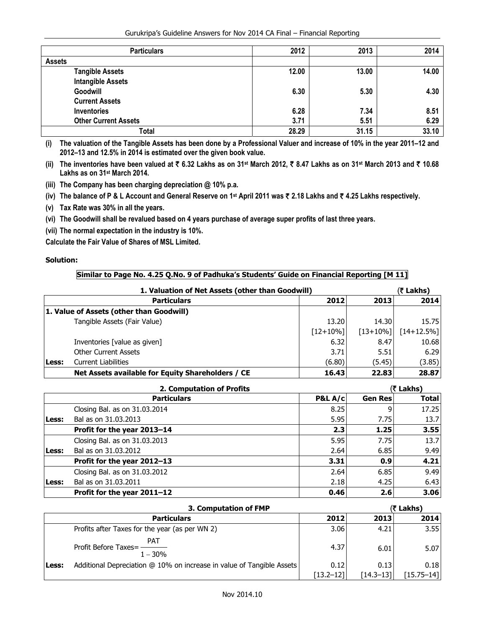Gurukripa's Guideline Answers for Nov 2014 CA Final – Financial Reporting

| <b>Particulars</b>          | 2012  | 2013  | 2014  |
|-----------------------------|-------|-------|-------|
| <b>Assets</b>               |       |       |       |
| <b>Tangible Assets</b>      | 12.00 | 13.00 | 14.00 |
| <b>Intangible Assets</b>    |       |       |       |
| Goodwill                    | 6.30  | 5.30  | 4.30  |
| <b>Current Assets</b>       |       |       |       |
| <b>Inventories</b>          | 6.28  | 7.34  | 8.51  |
| <b>Other Current Assets</b> | 3.71  | 5.51  | 6.29  |
| Total                       | 28.29 | 31.15 | 33.10 |

**(i) The valuation of the Tangible Assets has been done by a Professional Valuer and increase of 10% in the year 2011–12 and 2012–13 and 12.5% in 2014 is estimated over the given book value.** 

**(ii) The inventories have been valued at** ` **6.32 Lakhs as on 31st March 2012,** ` **8.47 Lakhs as on 31st March 2013 and** ` **10.68 Lakhs as on 31st March 2014.** 

**(iii) The Company has been charging depreciation @ 10% p.a.** 

**(iv) The balance of P & L Account and General Reserve on 1st April 2011 was** ` **2.18 Lakhs and** ` **4.25 Lakhs respectively.** 

**(v) Tax Rate was 30% in all the years.** 

**(vi) The Goodwill shall be revalued based on 4 years purchase of average super profits of last three years.** 

**(vii) The normal expectation in the industry is 10%.** 

**Calculate the Fair Value of Shares of MSL Limited.** 

# **Solution:**

# **Similar to Page No. 4.25 Q.No. 9 of Padhuka's Students' Guide on Financial Reporting [M 11]**

| 1. Valuation of Net Assets (other than Goodwill) |                                                   |            | (₹ Lakhs)   |               |
|--------------------------------------------------|---------------------------------------------------|------------|-------------|---------------|
|                                                  | <b>Particulars</b>                                | 2012       | 2013        | 2014          |
|                                                  | 1. Value of Assets (other than Goodwill)          |            |             |               |
|                                                  | Tangible Assets (Fair Value)                      | 13.20      | 14.30       | 15.75         |
|                                                  |                                                   | $[12+10%]$ | $[13+10\%]$ | $[14+12.5\%]$ |
|                                                  | Inventories [value as given]                      | 6.32       | 8.47        | 10.68         |
|                                                  | <b>Other Current Assets</b>                       | 3.71       | 5.51        | 6.29          |
| Less:                                            | <b>Current Liabilities</b>                        | (6.80)     | (5.45)      | (3.85)        |
|                                                  | Net Assets available for Equity Shareholders / CE | 16.43      | 22.83       | 28.87         |

|       | 2. Computation of Profits     |         |                | (₹ Lakhs)    |  |
|-------|-------------------------------|---------|----------------|--------------|--|
|       | <b>Particulars</b>            | P&L A/c | <b>Gen Res</b> | <b>Total</b> |  |
|       | Closing Bal. as on 31.03.2014 | 8.25    | 9              | 17.25        |  |
| Less: | Bal as on 31,03,2013          | 5.95    | 7.75           | 13.7         |  |
|       | Profit for the year 2013-14   | 2.3     | 1.25           | 3.55         |  |
|       | Closing Bal. as on 31.03.2013 | 5.95    | 7.75           | 13.7         |  |
| Less: | Bal as on 31.03.2012          | 2.64    | 6.85           | 9.49         |  |
|       | Profit for the year 2012-13   | 3.31    | 0.9            | 4.21         |  |
|       | Closing Bal. as on 31.03.2012 | 2.64    | 6.85           | 9.49         |  |
| Less: | Bal as on 31.03.2011          | 2.18    | 4.25           | 6.43         |  |
|       | Profit for the year 2011-12   | 0.46    | 2.6            | 3.06         |  |

|       | 3. Computation of FMP                                                 |               | (₹ Lakhs)     |             |
|-------|-----------------------------------------------------------------------|---------------|---------------|-------------|
|       | <b>Particulars</b>                                                    | 2012          | 2013          | 2014        |
|       | Profits after Taxes for the year (as per WN 2)                        | 3.06          | 4.21          | 3.55        |
|       | PAT<br>Profit Before Taxes=-<br>$1 - 30%$                             | 4.37          | 6.01          | 5.07        |
| Less: | Additional Depreciation @ 10% on increase in value of Tangible Assets | 0.12          | 0.13          | 0.18        |
|       |                                                                       | $[13.2 - 12]$ | $[14.3 - 13]$ | [15.75–14]] |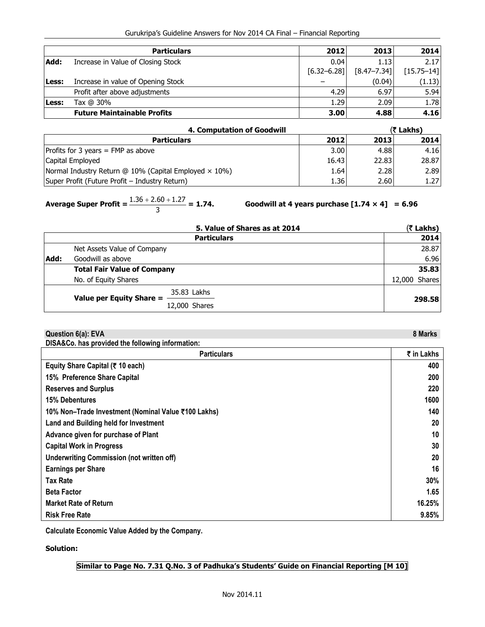|  | Gurukripa's Guideline Answers for Nov 2014 CA Final - Financial Reporting |
|--|---------------------------------------------------------------------------|
|--|---------------------------------------------------------------------------|

|       | <b>Particulars</b>                 | 2012            | 2013            | 2014           |
|-------|------------------------------------|-----------------|-----------------|----------------|
| Add:  | Increase in Value of Closing Stock | 0.04            | 1.13            | 2.17           |
|       |                                    | $[6.32 - 6.28]$ | $[8.47 - 7.34]$ | $[15.75 - 14]$ |
| Less: | Increase in value of Opening Stock |                 | (0.04)          | (1.13)         |
|       | Profit after above adjustments     | 4.29            | 6.97            | 5.94           |
| Less: | Tax @ 30%                          | 1.29            | 2.09            | 1.78           |
|       | <b>Future Maintainable Profits</b> | 3.00            | 4.88            | 4.16           |

| 4. Computation of Goodwill                                     |                   | (रै Lakhs) |       |
|----------------------------------------------------------------|-------------------|------------|-------|
| <b>Particulars</b>                                             | 2012              | 2013       | 2014  |
| Profits for 3 years $=$ FMP as above                           | 3.00 <sub>1</sub> | 4.88       | 4.16  |
| Capital Employed                                               | 16.43             | 22.83      | 28.87 |
| Normal Industry Return $@$ 10% (Capital Employed $\times$ 10%) | 1.64              | 2.28       | 2.89  |
| Super Profit (Future Profit – Industry Return)                 | 1.36              | 2.60       | 1.27  |

**Average Super Profit =**  $\frac{1.36 + 2.60 + 1.27}{3}$  **= 1.74.** 

Goodwill at 4 years purchase  $[1.74 \times 4] = 6.96$ 

|      | 5. Value of Shares as at 2014           | (₹ Lakhs)     |
|------|-----------------------------------------|---------------|
|      | <b>Particulars</b>                      | 2014          |
|      | Net Assets Value of Company             | 28.87         |
| Add: | Goodwill as above                       | 6.96          |
|      | <b>Total Fair Value of Company</b>      | 35.83         |
|      | No. of Equity Shares                    | 12,000 Shares |
|      | 35.83 Lakhs<br>Value per Equity Share = |               |
|      | 12,000 Shares                           | 298.58        |

| Question 6(a): EVA                                  | 8 Marks    |
|-----------------------------------------------------|------------|
| DISA&Co. has provided the following information:    |            |
| <b>Particulars</b>                                  | ₹ in Lakhs |
| Equity Share Capital (₹ 10 each)                    | 400        |
| 15% Preference Share Capital                        | 200        |
| <b>Reserves and Surplus</b>                         | 220        |
| <b>15% Debentures</b>                               | 1600       |
| 10% Non-Trade Investment (Nominal Value ₹100 Lakhs) | 140        |
| <b>Land and Building held for Investment</b>        | 20         |
| Advance given for purchase of Plant                 | 10         |
| <b>Capital Work in Progress</b>                     | 30         |
| <b>Underwriting Commission (not written off)</b>    | 20         |
| <b>Earnings per Share</b>                           | 16         |
| <b>Tax Rate</b>                                     | 30%        |
| <b>Beta Factor</b>                                  | 1.65       |
| <b>Market Rate of Return</b>                        | 16.25%     |
| <b>Risk Free Rate</b>                               | 9.85%      |

**Calculate Economic Value Added by the Company.** 

**Solution:** 

# **Similar to Page No. 7.31 Q.No. 3 of Padhuka's Students' Guide on Financial Reporting [M 10]**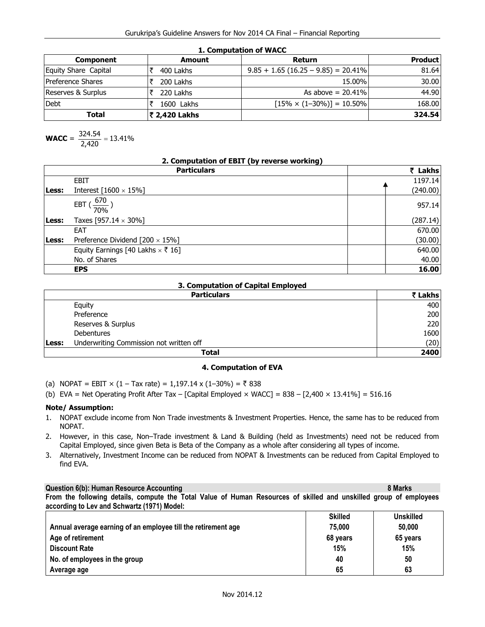**1. Computation of WACC** 

| <b>Component</b>         | Amount        | Return                                 | <b>Product</b> |  |
|--------------------------|---------------|----------------------------------------|----------------|--|
| Equity Share Capital     | 400 Lakhs     | $9.85 + 1.65 (16.25 - 9.85) = 20.41\%$ | 81.64          |  |
| <b>Preference Shares</b> | 200 Lakhs     | 15.00%                                 | 30.00          |  |
| Reserves & Surplus       | 220 Lakhs     | As above $= 20.41\%$                   | 44.90          |  |
| <b>Debt</b>              | 1600 Lakhs    | $[15\% \times (1-30\%)] = 10.50\%$     | 168.00         |  |
| Total                    | ₹ 2,420 Lakhs |                                        | 324.54         |  |

**WACC** = 
$$
\frac{324.54}{2,420} = 13.41\%
$$

| 2. Computation of EBIT (by reverse working) |  |
|---------------------------------------------|--|
|---------------------------------------------|--|

|       | <b>Particulars</b>                       | ₹ Lakhs  |
|-------|------------------------------------------|----------|
|       | <b>EBIT</b>                              | 1197.14  |
| Less: | Interest $[1600 \times 15\%]$            | (240.00) |
|       | 670<br>EBT<br>70%                        | 957.14   |
| Less: | Taxes [957.14 $\times$ 30%]              | (287.14) |
|       | EAT                                      | 670.00   |
| Less: | Preference Dividend $[200 \times 15\%]$  | (30.00)  |
|       | Equity Earnings [40 Lakhs $\times$ ₹ 16] | 640.00   |
|       | No. of Shares                            | 40.00    |
|       | <b>EPS</b>                               | 16.00    |

# **3. Computation of Capital Employed**

|       | <b>Particulars</b>                      |      |
|-------|-----------------------------------------|------|
|       | Equity                                  | 400  |
|       | Preference                              | 200  |
|       | Reserves & Surplus                      | 220  |
|       | <b>Debentures</b>                       | 1600 |
| Less: | Underwriting Commission not written off | (20) |
|       | <b>Total</b>                            | 2400 |

# **4. Computation of EVA**

(a) NOPAT = EBIT  $\times$  (1 – Tax rate) = 1,197.14 x (1–30%) = ₹ 838

(b) EVA = Net Operating Profit After Tax – [Capital Employed  $\times$  WACC] = 838 – [2,400  $\times$  13.41%] = 516.16

# **Note/ Assumption:**

- 1. NOPAT exclude income from Non Trade investments & Investment Properties. Hence, the same has to be reduced from NOPAT.
- 2. However, in this case, Non–Trade investment & Land & Building (held as Investments) need not be reduced from Capital Employed, since given Beta is Beta of the Company as a whole after considering all types of income.
- 3. Alternatively, Investment Income can be reduced from NOPAT & Investments can be reduced from Capital Employed to find EVA.

# **Question 6(b): Human Resource Accounting 8 Marks 3 Marks 3 Marks 3 Marks 3 Marks 3 Marks 3 Marks 3 Marks 3 Marks 3 Marks 3 Marks 3 Marks 3 Marks 3 Marks 3 Marks 3 Marks 3 Marks 3 Marks 3 Marks 3 Marks 3 Marks 3 Marks 3 Ma**

**From the following details, compute the Total Value of Human Resources of skilled and unskilled group of employees according to Lev and Schwartz (1971) Model:** 

|                                                               | <b>Skilled</b> | <b>Unskilled</b> |
|---------------------------------------------------------------|----------------|------------------|
| Annual average earning of an employee till the retirement age | 75.000         | 50,000           |
| Age of retirement                                             | 68 years       | 65 years         |
| <b>Discount Rate</b>                                          | 15%            | 15%              |
| No. of employees in the group                                 | 40             | 50               |
| Average age                                                   | 65             | 63               |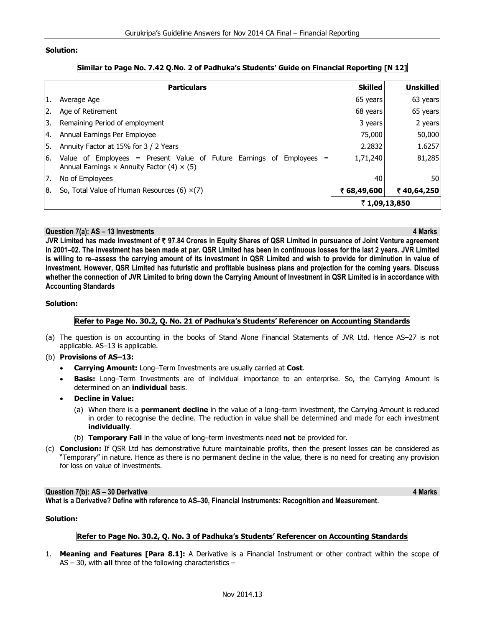### **Solution:**

|     | <b>Particulars</b>                                                                                                                | <b>Skilled</b> | <b>Unskilled</b> |
|-----|-----------------------------------------------------------------------------------------------------------------------------------|----------------|------------------|
| 1.  | Average Age                                                                                                                       | 65 years       | 63 years         |
| 2.  | Age of Retirement                                                                                                                 | 68 years       | 65 years         |
| 3.  | Remaining Period of employment                                                                                                    | 3 years        | 2 years          |
| 14. | Annual Earnings Per Employee                                                                                                      | 75,000         | 50,000           |
| 5.  | Annuity Factor at 15% for 3 / 2 Years                                                                                             | 2.2832         | 1.6257           |
| 16. | Value of Employees = Present Value of Future Earnings of<br>Employees<br>Annual Earnings $\times$ Annuity Factor (4) $\times$ (5) | 1,71,240       | 81,285           |
| 7.  | No of Employees                                                                                                                   | 40             | 50               |
| Ι8. | So, Total Value of Human Resources (6) $\times$ (7)                                                                               | ₹ 68,49,600    | ₹40,64,250       |
|     |                                                                                                                                   | ₹1,09,13,850   |                  |

# **Similar to Page No. 7.42 Q.No. 2 of Padhuka's Students' Guide on Financial Reporting [N 12]**

#### **Question 7(a): AS – 13 Investments 4 Marks**

**JVR Limited has made investment of** ` **97.84 Crores in Equity Shares of QSR Limited in pursuance of Joint Venture agreement in 2001–02. The investment has been made at par. QSR Limited has been in continuous losses for the last 2 years. JVR Limited is willing to re–assess the carrying amount of its investment in QSR Limited and wish to provide for diminution in value of investment. However, QSR Limited has futuristic and profitable business plans and projection for the coming years. Discuss whether the connection of JVR Limited to bring down the Carrying Amount of Investment in QSR Limited is in accordance with Accounting Standards** 

#### **Solution:**

# **Refer to Page No. 30.2, Q. No. 21 of Padhuka's Students' Referencer on Accounting Standards**

- (a) The question is on accounting in the books of Stand Alone Financial Statements of JVR Ltd. Hence AS–27 is not applicable. AS–13 is applicable.
- (b) **Provisions of AS–13:** 
	- **Carrying Amount:** Long–Term Investments are usually carried at **Cost**.
	- **Basis:** Long–Term Investments are of individual importance to an enterprise. So, the Carrying Amount is determined on an **individual** basis.
	- **Decline in Value:**
		- (a) When there is a **permanent decline** in the value of a long–term investment, the Carrying Amount is reduced in order to recognise the decline. The reduction in value shall be determined and made for each investment **individually**.
		- (b) **Temporary Fall** in the value of long–term investments need **not** be provided for.
- (c) **Conclusion:** If QSR Ltd has demonstrative future maintainable profits, then the present losses can be considered as "Temporary" in nature. Hence as there is no permanent decline in the value, there is no need for creating any provision for loss on value of investments.

#### **Question 7(b): AS – 30 Derivative 4 Marks 3 Adventure 4 Marks 3 Adventure 4 Marks 4 Marks 4 Marks 4 Marks 4 Marks 4 Marks 4 Marks 4 Marks 4 Marks 4 Marks 4 Marks 4 Marks 4 Marks 4 Marks 4 Marks 4 Marks 4 Marks 4 Marks 4 M**

**What is a Derivative? Define with reference to AS–30, Financial Instruments: Recognition and Measurement.** 

## **Solution:**

### **Refer to Page No. 30.2, Q. No. 3 of Padhuka's Students' Referencer on Accounting Standards**

1. **Meaning and Features [Para 8.1]:** A Derivative is a Financial Instrument or other contract within the scope of AS – 30, with **all** three of the following characteristics –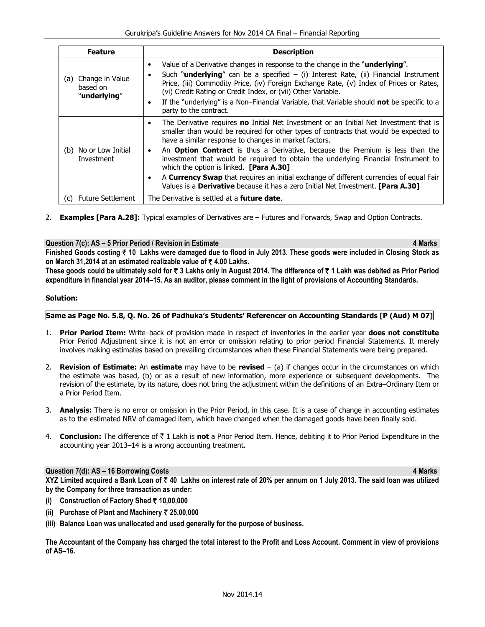| <b>Feature</b>                                     | <b>Description</b>                                                                                                                                                                                                                                                                                                                                                                                                                                                             |  |  |
|----------------------------------------------------|--------------------------------------------------------------------------------------------------------------------------------------------------------------------------------------------------------------------------------------------------------------------------------------------------------------------------------------------------------------------------------------------------------------------------------------------------------------------------------|--|--|
| Change in Value<br>(a)<br>based on<br>"underlying" | Value of a Derivative changes in response to the change in the "underlying".<br>Such " <b>underlying</b> " can be a specified $-$ (i) Interest Rate, (ii) Financial Instrument<br>Price, (iii) Commodity Price, (iv) Foreign Exchange Rate, (v) Index of Prices or Rates,<br>(vi) Credit Rating or Credit Index, or (vii) Other Variable.<br>If the "underlying" is a Non-Financial Variable, that Variable should <b>not</b> be specific to a<br>٠<br>party to the contract.  |  |  |
| No or Low Initial<br>(b)<br>Investment             | The Derivative requires no Initial Net Investment or an Initial Net Investment that is<br>$\bullet$<br>smaller than would be required for other types of contracts that would be expected to<br>have a similar response to changes in market factors.<br>An <b>Option Contract</b> is thus a Derivative, because the Premium is less than the<br>investment that would be required to obtain the underlying Financial Instrument to<br>which the option is linked. [Para A.30] |  |  |
|                                                    | A <b>Currency Swap</b> that requires an initial exchange of different currencies of equal Fair<br>٠<br>Values is a Derivative because it has a zero Initial Net Investment. [Para A.30]                                                                                                                                                                                                                                                                                        |  |  |
| <b>Future Settlement</b><br>(C)                    | The Derivative is settled at a <b>future date.</b>                                                                                                                                                                                                                                                                                                                                                                                                                             |  |  |

2. **Examples [Para A.28]:** Typical examples of Derivatives are – Futures and Forwards, Swap and Option Contracts.

# **Question 7(c): AS – 5 Prior Period / Revision in Estimate 4 Marks 3 AMARY 100 AMARY 4 Marks 4 Marks 4 Marks 3 AMARY 100 AMARY 100 AMARY 100 AMARY 100 AMARY 100 AMARY 100 AMARY 100 AMARY 100 AMARY 100 AMARY 100 AMARY 100 A**

**Finished Goods costing** ` **10 Lakhs were damaged due to flood in July 2013. These goods were included in Closing Stock as on March 31,2014 at an estimated realizable value of** ` **4.00 Lakhs.** 

These goods could be ultimately sold for ₹ 3 Lakhs only in August 2014. The difference of ₹ 1 Lakh was debited as Prior Period **expenditure in financial year 2014–15. As an auditor, please comment in the light of provisions of Accounting Standards.** 

# **Solution:**

# **Same as Page No. 5.8, Q. No. 26 of Padhuka's Students' Referencer on Accounting Standards [P (Aud) M 07]**

- 1. **Prior Period Item:** Write–back of provision made in respect of inventories in the earlier year **does not constitute** Prior Period Adjustment since it is not an error or omission relating to prior period Financial Statements. It merely involves making estimates based on prevailing circumstances when these Financial Statements were being prepared.
- 2. **Revision of Estimate:** An **estimate** may have to be **revised** (a) if changes occur in the circumstances on which the estimate was based, (b) or as a result of new information, more experience or subsequent developments. The revision of the estimate, by its nature, does not bring the adjustment within the definitions of an Extra–Ordinary Item or a Prior Period Item.
- 3. **Analysis:** There is no error or omission in the Prior Period, in this case. It is a case of change in accounting estimates as to the estimated NRV of damaged item, which have changed when the damaged goods have been finally sold.
- 4. **Conclusion:** The difference of ` 1 Lakh is **not** a Prior Period Item. Hence, debiting it to Prior Period Expenditure in the accounting year 2013–14 is a wrong accounting treatment.

# **Question 7(d): AS – 16 Borrowing Costs 4 Marks**

**XYZ Limited acquired a Bank Loan of** ` **40 Lakhs on interest rate of 20% per annum on 1 July 2013. The said loan was utilized by the Company for three transaction as under:** 

- **(i) Construction of Factory Shed** ` **10,00,000**
- **(ii) Purchase of Plant and Machinery** ` **25,00,000**
- **(iii) Balance Loan was unallocated and used generally for the purpose of business.**

**The Accountant of the Company has charged the total interest to the Profit and Loss Account. Comment in view of provisions of AS–16.**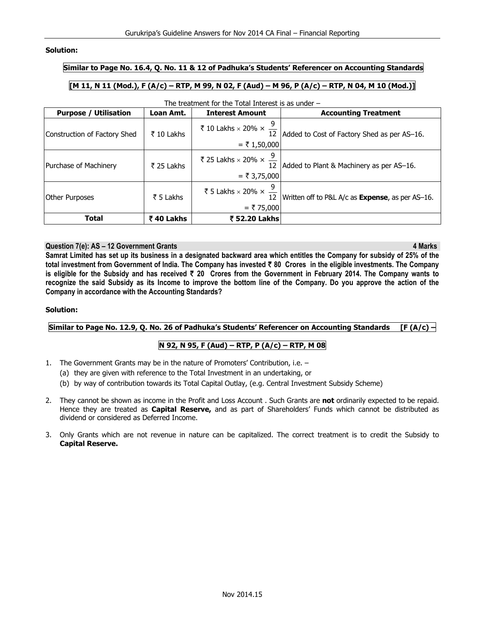# **Solution:**

# **Similar to Page No. 16.4, Q. No. 11 & 12 of Padhuka's Students' Referencer on Accounting Standards**

# **[M 11, N 11 (Mod.), F (A/c) – RTP, M 99, N 02, F (Aud) – M 96, P (A/c) – RTP, N 04, M 10 (Mod.)]**

| <b>Purpose / Utilisation</b> | Loan Amt.  | <b>Interest Amount</b>                                           | <b>Accounting Treatment</b>                              |
|------------------------------|------------|------------------------------------------------------------------|----------------------------------------------------------|
| Construction of Factory Shed | ₹ 10 Lakhs | ₹ 10 Lakhs × 20% × $\frac{9}{12}$   $\uparrow$<br>$=$ ₹ 1,50,000 | Added to Cost of Factory Shed as per AS-16.              |
| Purchase of Machinery        | ₹ 25 Lakhs | ₹ 25 Lakhs × 20% × $\frac{9}{12}$<br>$= ₹ 3,75,000$              | Added to Plant & Machinery as per AS-16.                 |
| <b>Other Purposes</b>        | ₹ 5 Lakhs  | ₹ 5 Lakhs × 20% × $\frac{9}{12}$<br>$= ₹75,000$                  | Written off to P&L A/c as <b>Expense</b> , as per AS-16. |
| <b>Total</b>                 | ₹40 Lakhs  | ₹ 52.20 Lakhs                                                    |                                                          |

# The treatment for the Total Interest is as under –

#### **Question 7(e): AS – 12 Government Grants 4 Marks**

**Samrat Limited has set up its business in a designated backward area which entitles the Company for subsidy of 25% of the total investment from Government of India. The Company has invested** ` **80 Crores in the eligible investments. The Company is eligible for the Subsidy and has received** ` **20 Crores from the Government in February 2014. The Company wants to recognize the said Subsidy as its Income to improve the bottom line of the Company. Do you approve the action of the Company in accordance with the Accounting Standards?** 

#### **Solution:**

**Similar to Page No. 12.9, Q. No. 26 of Padhuka's Students' Referencer on Accounting Standards [F (A/c) –** 

# **N 92, N 95, F (Aud) – RTP, P (A/c) – RTP, M 08**

- 1. The Government Grants may be in the nature of Promoters' Contribution, i.e.
	- (a) they are given with reference to the Total Investment in an undertaking, or
	- (b) by way of contribution towards its Total Capital Outlay, (e.g. Central Investment Subsidy Scheme)
- 2. They cannot be shown as income in the Profit and Loss Account . Such Grants are **not** ordinarily expected to be repaid. Hence they are treated as **Capital Reserve,** and as part of Shareholders' Funds which cannot be distributed as dividend or considered as Deferred Income.
- 3. Only Grants which are not revenue in nature can be capitalized. The correct treatment is to credit the Subsidy to **Capital Reserve.**